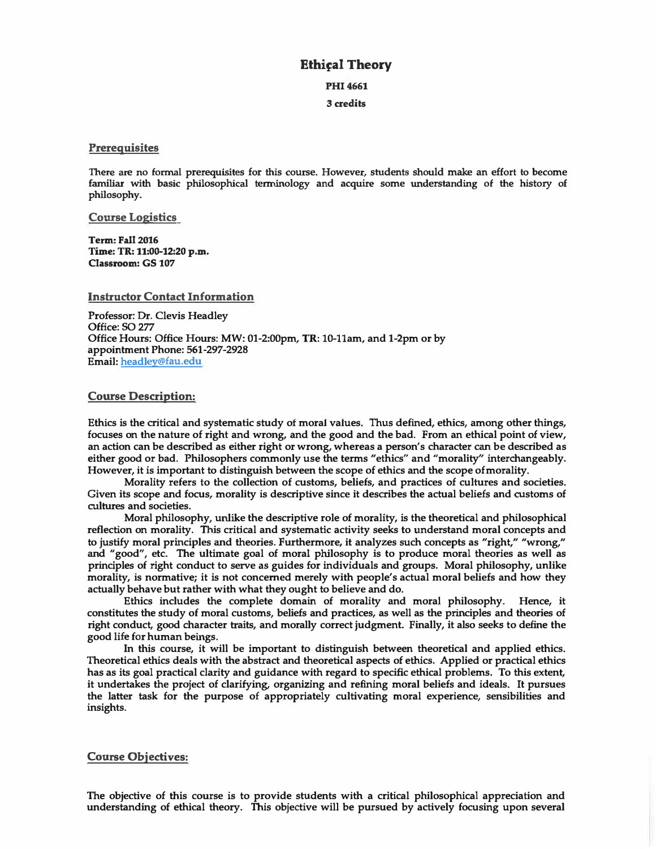# **Ethical Theory**

**PHI4661** 

**3 credits** 

#### **Prerequisites**

**There are no fonnal prerequisites for this course. However, students should make an effort to become familiar with basic philosophical terminology and acquire some understanding of the history of philosophy.** 

**Course Logistics** 

**Term: Fall 2016 Time: TR: 11:00-12:20 p.m. Classroom: GS 107** 

**Instructor Contact Information** 

**Professor: Dr. Clevis Headley Office: SO 277 Office Hours: Office Hours: MW: 01-2:00pm, TR: 10-llam, and 1-2pm or by appointment Phone: 561-297-2928 Email: headley@fau.edu** 

#### **Course Description:**

**Ethics is the critical and systematic study of moral values. Thus defined, ethics, among other things, focuses on the nature of right and wrong, and the good and the bad. From an ethical point of view, an action can be described as either right or wrong, whereas a person's character can be described as either good or bad. Philosophers commonly use the terms "ethics" and "morality'' interchangeably. However, it is important to distinguish between the scope of ethics and the scope ofmorality.** 

**Morality refers to the collection of customs, beliefs, and practices of cultures and societies. Given its scope and focus, morality is descriptive since it describes the actual beliefs and customs of cultures and societies.** 

**Moral philosophy, unlike the descriptive role of morality, is the theoretical and philosophical reflection on morality. This critical and systematic activity seeks to understand moral concepts and to justify moral principles and theories. Furthermore, it analyzes such concepts as "right," "wrong," and "good", etc. The ultimate goal of moral philosophy is to produce moral theories as well as principles of right conduct to serve as guides for individuals and groups. Moral philosophy, unlike morality, is normative; it is not concerned merely with people's actual moral beliefs and how they actually behave but rather with what they ought to believe and do.** 

**Ethics includes the complete domain of morality and moral philosophy. Hence, it constitutes the study of moral customs, beliefs and practices, as well as the principles and theories of right conduct, good character traits, and morally correct judgment. Finally, it also seeks to define the good life for human beings.** 

**In this course, it will be important to distinguish between theoretical and applied ethics. Theoretical ethics deals with the abstract and theoretical aspects of ethics. Applied or practical ethics has as its goal practical clarity and guidance with regard to specific ethical problems. To this extent, it undertakes the project of clarifying, organizing and refining moral beliefs and ideals. It pursues the latter task for the purpose of appropriately cultivating moral experience, sensibilities and insights.** 

## **Course Objectives:**

**The objective of this course is to provide students with a critical philosophical appreciation and understanding of ethical theory. This objective will be pursued by actively focusing upon several**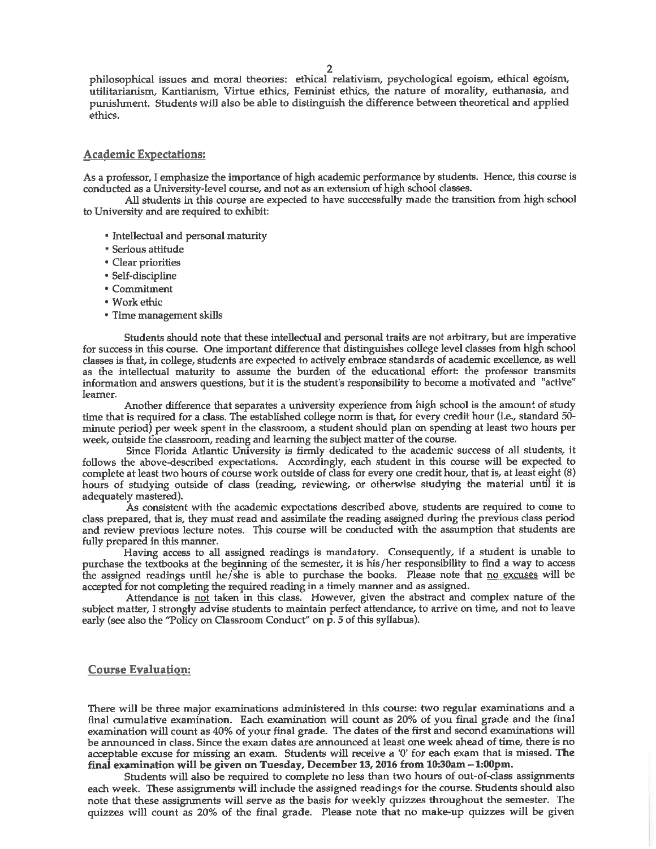philosophical issues and moral theories: ethical relativism, psychological egoism, ethical egoism, utilitarianism, Kantianism, Virtue ethics, Feminist ethics, the nature of morality, euthanasia, and punishment. Students will also be able to distinguish the difference between theoretical and applied ethics.

#### **Academic Expectations:**

As a professor, I emphasize the importance of high academic performance by students. Hence, this course is conducted as a University-level course, and not as an extension of high school classes.

All students in this course are expected to have successfully made the transition from high school to University and are required to exhibit:

- Intellectual and personal maturity
- Serious attitude
- Clear priorities
- Self-discipline
- Commitment
- Work ethic
- Time management skills

Students should note that these intellectual and personal traits are not arbitrary, but are imperative for success in this course. One important difference that distinguishes college level classes from high school classes is that, in college, students are expected to actively embrace standards of academic excellence, as well as the intellectual maturity to assume the burden of the educational effort: the professor transmits information and answers questions, but it is the student's responsibility to become a motivated and "active" learner.

Another difference that separates a university experience from high school is the amount of study time that is required for a class. The established college norm is that, for every credit hour (i.e., standard 50minute period) per week spent in the classroom, a student should plan on spending at least two hours per week, outside the classroom, reading and learning the subject matter of the course.

Since Florida Atlantic University is firmly dedicated to the academic success of all students, it follows the above-described expectations. Accordingly, each student in this course will be expected to complete at least two hours of course work outside of class for every one credit hour, that is, at least eight (8) hours of studying outside of class (reading, reviewing, or otherwise studying the material until it is adequately mastered).

As consistent with the academic expectations described above, students are required to come to class prepared, that is, they must read and assimilate the reading assigned during the previous class period and review previous lecture notes. This course will be conducted with the assumption that students are fully prepared in this manner.

Having access to all assigned readings is mandatory. Consequently, if a student is unable to purchase the textbooks at the beginning of the semester, it is his/her responsibility to find a way to access the assigned readings until he/she is able to purchase the books. Please note that no excuses will be accepted for not completing the required reading in a timely manner and as assigned.

Attendance is not taken in this class. However, given the abstract and complex nature of the subject matter, I strongly advise students to maintain perfect attendance, to arrive on time, and not to leave early (see also the "Policy on Classroom Conduct" on p. 5 of this syllabus).

#### **Course Evaluation:**

There will be three major examinations administered in this course: two regular examinations and a final cumulative examination. Each examination will count as 20% of you final grade and the final examination will count as 40% of your final grade. The dates of the first and second examinations will be announced in class. Since the exam dates are announced at least one week ahead of time, there is no acceptable excuse for missing an exam. Students will receive a '0' for each exam that is missed. The final examination will be given on Tuesday, December 13, 2016 from 10:30am – 1:00pm.

Students will also be required to complete no less than two hours of out-of-class assignments each week. These assignments will include the assigned readings for the course. Students should also note that these assignments will serve as the basis for weekly quizzes throughout the semester. The quizzes will count as 20% of the final grade. Please note that no make-up quizzes will be given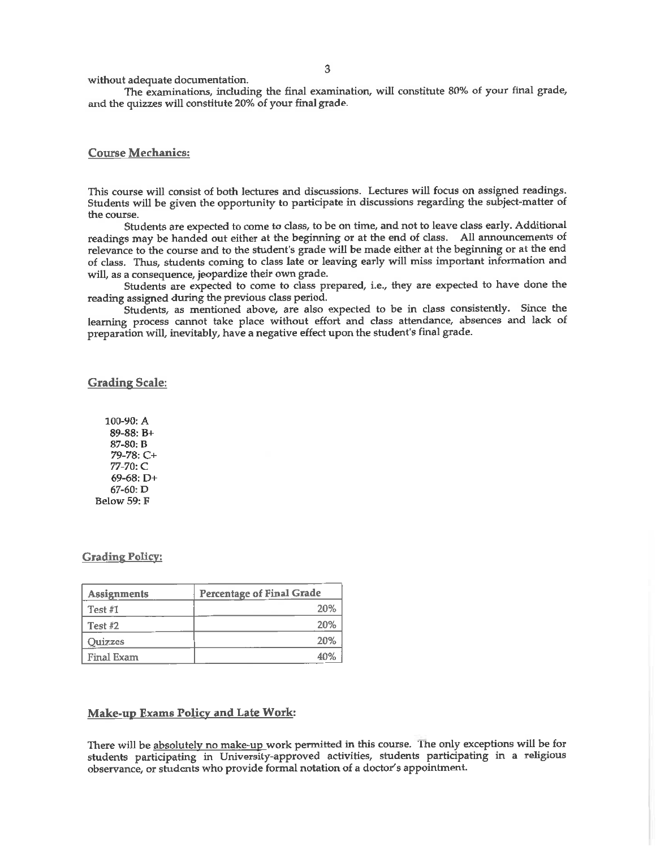without adequate documentation.

The examinations, including the final examination, will constitute 80% of your final grade, and the quizzes will constitute 20% of your final grade.

### **Course Mechanics:**

This course will consist of both lectures and discussions. Lectures will focus on assigned readings. Students will be given the opportunity to participate in discussions regarding the subject-matter of the course.

Students are expected to come to class, to be on time, and not to leave class early. Additional readings may be handed out either at the beginning or at the end of class. All announcements of relevance to the course and to the student's grade will be made either at the beginning or at the end of class. Thus, students coming to class late or leaving early will miss important information and will, as a consequence, jeopardize their own grade.

Students are expected to come to class prepared, i.e., they are expected to have done the reading assigned during the previous class period.

Students, as mentioned above, are also expected to be in class consistently. Since the learning process cannot take place without effort and class attendance, absences and lack of preparation will, inevitably, have a negative effect upon the student's final grade.

#### **Grading Scale:**

100-90: A 89-88: B+ 87-80: B 79-78: C+ 77-70: C  $69-68: D+$ 67-60: D Below 59: F

#### **Grading Policy:**

| Assignments       | <b>Percentage of Final Grade</b> |
|-------------------|----------------------------------|
| Test $#1$         | 20%                              |
| Test $#2$         | 20%                              |
| Quizzes           | 20%                              |
| <b>Final Exam</b> | 40%                              |

#### **Make-up Exams Policy and Late Work:**

There will be absolutely no make-up work permitted in this course. The only exceptions will be for students participating in University-approved activities, students participating in a religious observance, or students who provide formal notation of a doctor's appointment.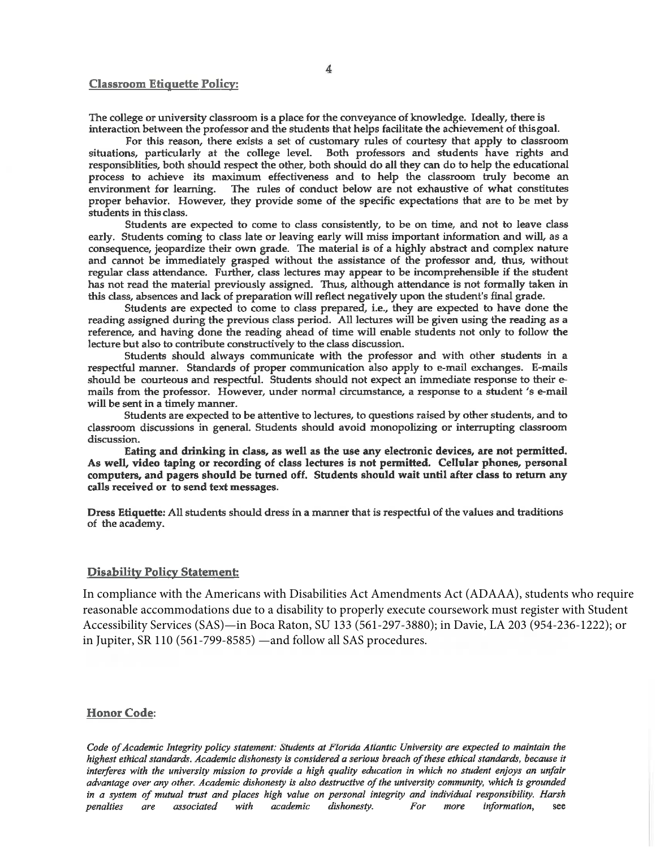#### **Classroom Etiquette Policy:**

The college or university classroom is a place for the conveyance of knowledge. Ideally, there is interaction between the professor and the students that helps facilitate the achievement of this goal.

For this reason, there exists a set of customary rules of courtesy that apply to classroom situations, particularly at the college level. Both professors and students have rights and responsiblities, both should respect the other, both should do all they can do to help the educational process to achieve its maximum effectiveness and to help the classroom truly become an environment for learning. The rules of conduct below are not exhaustive of what constitutes proper behavior. However, they provide some of the specific expectations that are to be met by students in this class.

Students are expected to come to class consistently, to be on time, and not to leave class early. Students coming to class late or leaving early will miss important information and will, as a consequence, jeopardize their own grade. The material is of a highly abstract and complex nature and cannot be immediately grasped without the assistance of the professor and, thus, without regular class attendance. Further, class lectures may appear to be incomprehensible if the student has not read the material previously assigned. Thus, although attendance is not formally taken in this class, absences and lack of preparation will reflect negatively upon the student's final grade.

Students are expected to come to class prepared, i.e., they are expected to have done the reading assigned during the previous class period. All lectures will be given using the reading as a reference, and having done the reading ahead of time will enable students not only to follow the lecture but also to contribute constructively to the class discussion.

Students should always communicate with the professor and with other students in a respectful manner. Standards of proper communication also apply to e-mail exchanges. E-mails should be courteous and respectful. Students should not expect an immediate response to their emails from the professor. However, under normal circumstance, a response to a student 's e-mail will be sent in a timely manner.

Students are expected to be attentive to lectures, to questions raised by other students, and to classroom discussions in general. Students should avoid monopolizing or interrupting classroom discussion.

Eating and drinking in class, as well as the use any electronic devices, are not permitted. As well, video taping or recording of class lectures is not permitted. Cellular phones, personal computers, and pagers should be turned off. Students should wait until after class to return any calls received or to send text messages.

Dress Etiquette: All students should dress in a manner that is respectful of the values and traditions of the academy.

#### **Disability Policy Statement:**

In compliance with the Americans with Disabilities Act Amendments Act (ADAAA), students who require reasonable accommodations due to a disability to properly execute coursework must register with Student Accessibility Services (SAS)—in Boca Raton, SU 133 (561-297-3880); in Davie, LA 203 (954-236-1222); or in Jupiter, SR 110 (561-799-8585) —and follow all SAS procedures.

#### **Honor Code:**

Code of Academic Integrity policy statement: Students at Florida Atlantic University are expected to maintain the highest ethical standards. Academic dishonesty is considered a serious breach of these ethical standards, because it interferes with the university mission to provide a high quality education in which no student enjoys an unfair advantage over any other. Academic dishonesty is also destructive of the university community, which is grounded in a system of mutual trust and places high value on personal integrity and individual responsibility. Harsh penalties are associated with academic dishonesty. For more information, see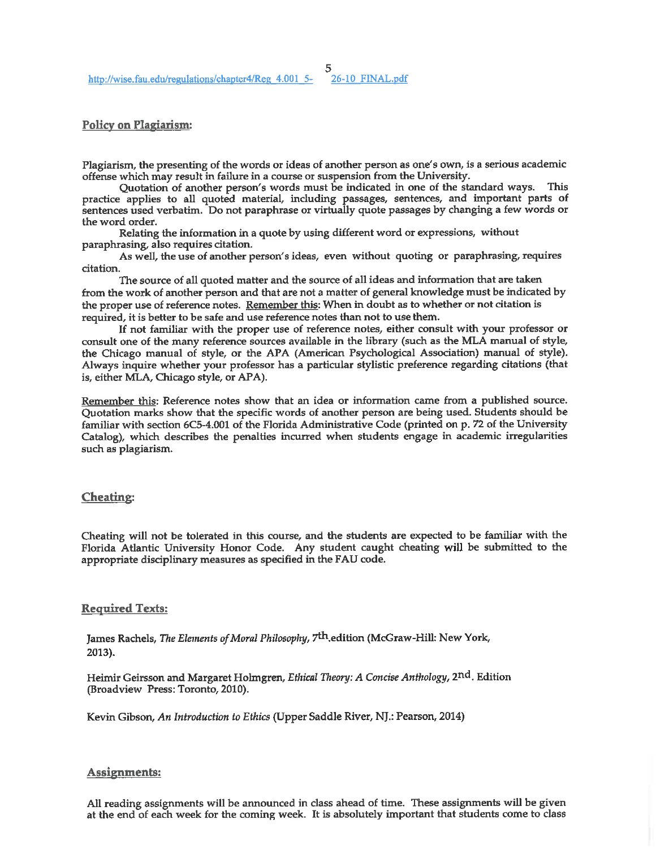5<br>2<u>6-10 FINAL.pdf</u>

#### **Policy on Plagiarism:**

Plagiarism, the presenting of the words or ideas of another person as one's own, is a serious academic offense which may result in failure in a course or suspension from the University.

Quotation of another person's words must be indicated in one of the standard ways. This practice applies to all quoted material, including passages, sentences, and important parts of sentences used verbatim. Do not paraphrase or virtually quote passages by changing a few words or the word order.

Relating the information in a quote by using different word or expressions, without paraphrasing, also requires citation.

As well, the use of another person's ideas, even without quoting or paraphrasing, requires citation.

The source of all quoted matter and the source of all ideas and information that are taken from the work of another person and that are not a matter of general knowledge must be indicated by the proper use of reference notes. Remember this: When in doubt as to whether or not citation is required, it is better to be safe and use reference notes than not to use them.

If not familiar with the proper use of reference notes, either consult with your professor or consult one of the many reference sources available in the library (such as the MLA manual of style, the Chicago manual of style, or the APA (American Psychological Association) manual of style). Always inquire whether your professor has a particular stylistic preference regarding citations (that is, either MLA, Chicago style, or APA).

Remember this: Reference notes show that an idea or information came from a published source. Quotation marks show that the specific words of another person are being used. Students should be familiar with section 6C5-4.001 of the Florida Administrative Code (printed on p. 72 of the University Catalog), which describes the penalties incurred when students engage in academic irregularities such as plagiarism.

#### **Cheating:**

Cheating will not be tolerated in this course, and the students are expected to be familiar with the Florida Atlantic University Honor Code. Any student caught cheating will be submitted to the appropriate disciplinary measures as specified in the FAU code.

### **Required Texts:**

James Rachels, The Elements of Moral Philosophy, 7<sup>th</sup> edition (McGraw-Hill: New York,  $2013$ ).

Heimir Geirsson and Margaret Holmgren, Ethical Theory: A Concise Anthology, 2nd. Edition (Broadview Press: Toronto, 2010).

Kevin Gibson, An Introduction to Ethics (Upper Saddle River, NJ.: Pearson, 2014)

#### Assignments:

All reading assignments will be announced in class ahead of time. These assignments will be given at the end of each week for the coming week. It is absolutely important that students come to class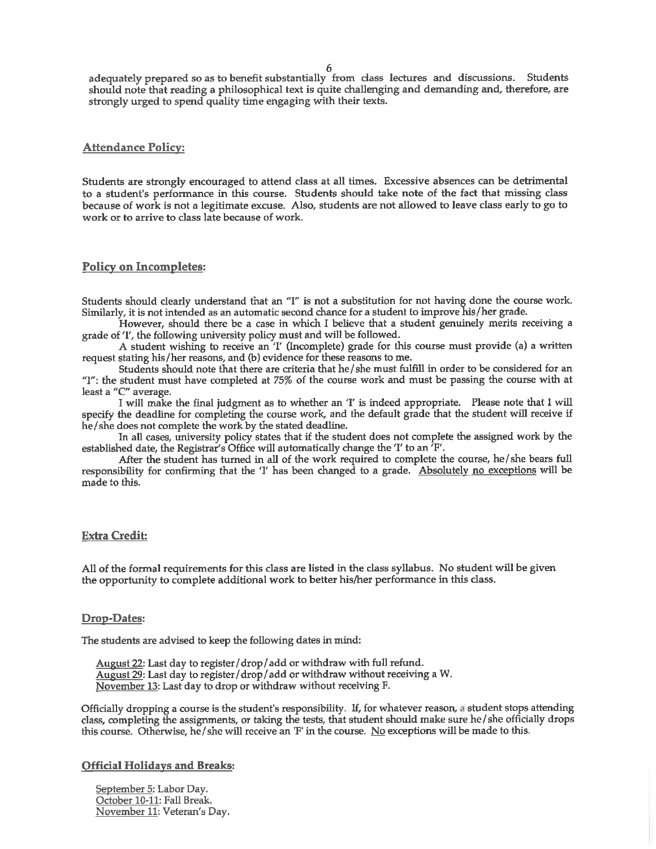6

adequately prepared so as to benefit substantially from class lectures and discussions. Students should note that reading a philosophical text is quite challenging and demanding and, therefore, are strongly urged to spend quality time engaging with their texts.

### **Attendance Policy:**

Students are strongly encouraged to attend class at all times. Excessive absences can be detrimental to a student's performance in this course. Students should take note of the fact that missing class because of work is not a legitimate excuse. Also, students are not allowed to leave class early to go to work or to arrive to class late because of work.

#### **Policy on Incompletes:**

Students should clearly understand that an "I" is not a substitution for not having done the course work. Similarly, it is not intended as an automatic second chance for a student to improve his/her grade.

However, should there be a case in which I believe that a student genuinely merits receiving a grade of 'I', the following university policy must and will be followed.

A student wishing to receive an 'I' (Incomplete) grade for this course must provide (a) a written request stating his/her reasons, and (b) evidence for these reasons to me.

Students should note that there are criteria that he/she must fulfill in order to be considered for an "I": the student must have completed at 75% of the course work and must be passing the course with at least a "C" average.

I will make the final judgment as to whether an 'I' is indeed appropriate. Please note that I will specify the deadline for completing the course work, and the default grade that the student will receive if he/she does not complete the work by the stated deadline.

In all cases, university policy states that if the student does not complete the assigned work by the established date, the Registrar's Office will automatically change the 'I' to an 'F'.

After the student has turned in all of the work required to complete the course, he/she bears full responsibility for confirming that the 'I' has been changed to a grade. Absolutely no exceptions will be made to this.

#### **Extra Credit:**

All of the formal requirements for this class are listed in the class syllabus. No student will be given the opportunity to complete additional work to better his/her performance in this class.

#### **Drop-Dates:**

The students are advised to keep the following dates in mind:

August 22: Last day to register/drop/add or withdraw with full refund. August 29: Last day to register/drop/add or withdraw without receiving a W. November 13: Last day to drop or withdraw without receiving F.

Officially dropping a course is the student's responsibility. If, for whatever reason, a student stops attending class, completing the assignments, or taking the tests, that student should make sure he/she officially drops this course. Otherwise, he/she will receive an 'F' in the course. No exceptions will be made to this.

#### **Official Holidays and Breaks:**

September 5: Labor Day. October 10-11: Fall Break. November 11: Veteran's Day.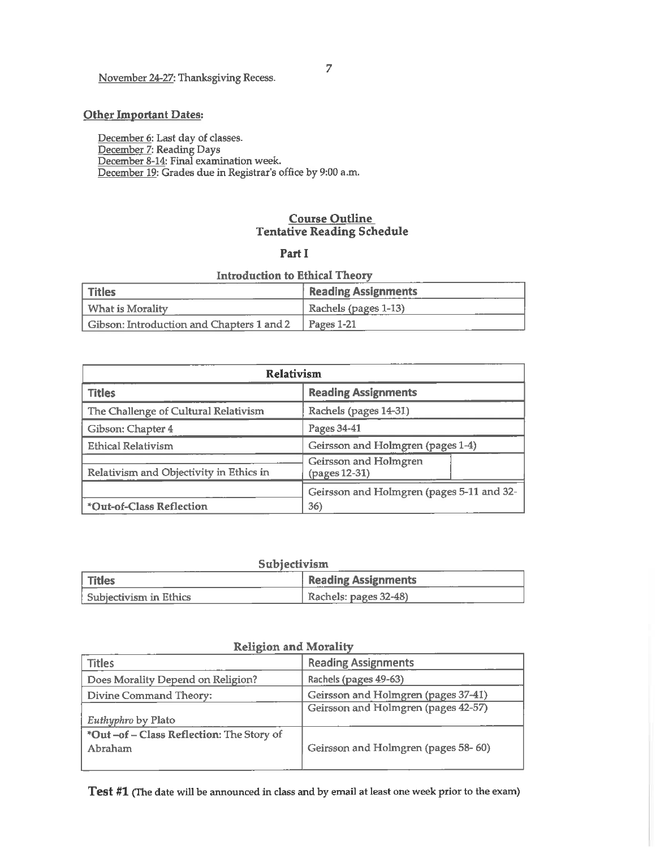# November 24-27: Thanksgiving Recess.

# **Other Important Dates:**

December 6: Last day of classes. December 7: Reading Days<br>December 7: Reading Days<br>December 8-14: Final examination week. December 19: Grades due in Registrar's office by 9:00 a.m.

# **Course Outline Tentative Reading Schedule**

### Part I

# **Introduction to Ethical Theory**

| l Titles                                  | <b>Reading Assignments</b> |
|-------------------------------------------|----------------------------|
| What is Morality                          | Rachels (pages 1-13)       |
| Gibson: Introduction and Chapters 1 and 2 | Pages 1-21                 |

| <b>Relativism</b>                       |                                           |
|-----------------------------------------|-------------------------------------------|
| <b>Titles</b>                           | <b>Reading Assignments</b>                |
| The Challenge of Cultural Relativism    | Rachels (pages 14-31)                     |
| Gibson: Chapter 4                       | Pages 34-41                               |
| <b>Ethical Relativism</b>               | Geirsson and Holmgren (pages 1-4)         |
| Relativism and Objectivity in Ethics in | Geirsson and Holmgren<br>(pages 12-31)    |
|                                         | Geirsson and Holmgren (pages 5-11 and 32- |
| *Out-of-Class Reflection                | 36)                                       |

| Subjectivism             |                            |
|--------------------------|----------------------------|
| Titles                   | <b>Reading Assignments</b> |
| l Subjectivism in Ethics | $Rachels: pages 32-48$     |

الأرادي المرابط الطا

| TAPTIMANTE NYEN AYAUTHALEY                |                                     |  |
|-------------------------------------------|-------------------------------------|--|
| <b>Titles</b>                             | <b>Reading Assignments</b>          |  |
| Does Morality Depend on Religion?         | Rachels (pages 49-63)               |  |
| Divine Command Theory:                    | Geirsson and Holmgren (pages 37-41) |  |
|                                           | Geirsson and Holmgren (pages 42-57) |  |
| Euthyphro by Plato                        |                                     |  |
| *Out -of - Class Reflection: The Story of |                                     |  |
| Abraham                                   | Geirsson and Holmgren (pages 58-60) |  |
|                                           |                                     |  |

# **Religion and Morality**

Test #1 (The date will be announced in class and by email at least one week prior to the exam)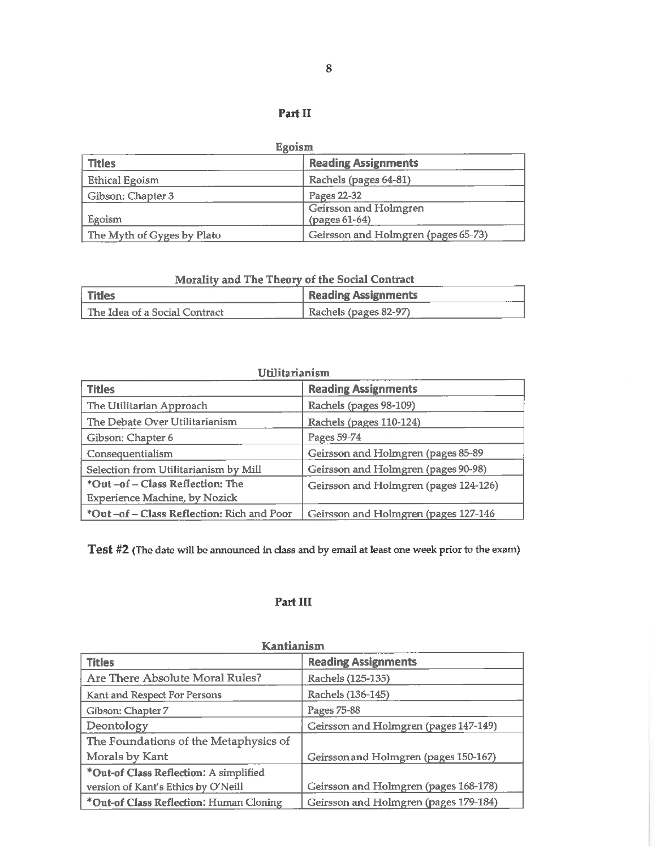# Part II

| Egoism                     |                                        |
|----------------------------|----------------------------------------|
| <b>Titles</b>              | <b>Reading Assignments</b>             |
| <b>Ethical Egoism</b>      | Rachels (pages 64-81)                  |
| Gibson: Chapter 3          | Pages 22-32                            |
| Egoism                     | Geirsson and Holmgren<br>(pages 61-64) |
| The Myth of Gyges by Plato | Geirsson and Holmgren (pages 65-73)    |

# Morality and The Theory of the Social Contract

| <b>Titles</b>                     | <b>Reading Assignments</b> |
|-----------------------------------|----------------------------|
| l The Idea of a Social Contract - | Rachels (pages 82-97)      |

| Utilitarianism                                                        |                                       |
|-----------------------------------------------------------------------|---------------------------------------|
| <b>Titles</b>                                                         | <b>Reading Assignments</b>            |
| The Utilitarian Approach                                              | Rachels (pages 98-109)                |
| The Debate Over Utilitarianism                                        | Rachels (pages 110-124)               |
| Gibson: Chapter 6                                                     | Pages 59-74                           |
| Consequentialism                                                      | Geirsson and Holmgren (pages 85-89    |
| Selection from Utilitarianism by Mill                                 | Geirsson and Holmgren (pages 90-98)   |
| *Out-of-Class Reflection: The<br><b>Experience Machine, by Nozick</b> | Geirsson and Holmgren (pages 124-126) |
| *Out-of-Class Reflection: Rich and Poor                               | Geirsson and Holmgren (pages 127-146  |

Test #2 (The date will be announced in class and by email at least one week prior to the exam)

# Part III

| Kantianism                              |                                       |  |
|-----------------------------------------|---------------------------------------|--|
| <b>Titles</b>                           | <b>Reading Assignments</b>            |  |
| Are There Absolute Moral Rules?         | Rachels (125-135)                     |  |
| Kant and Respect For Persons            | Rachels (136-145)                     |  |
| Gibson: Chapter 7                       | Pages 75-88                           |  |
| Deontology                              | Geirsson and Holmgren (pages 147-149) |  |
| The Foundations of the Metaphysics of   |                                       |  |
| Morals by Kant                          | Geirsson and Holmgren (pages 150-167) |  |
| *Out-of Class Reflection: A simplified  |                                       |  |
| version of Kant's Ethics by O'Neill     | Geirsson and Holmgren (pages 168-178) |  |
| *Out-of Class Reflection: Human Cloning | Geirsson and Holmgren (pages 179-184) |  |